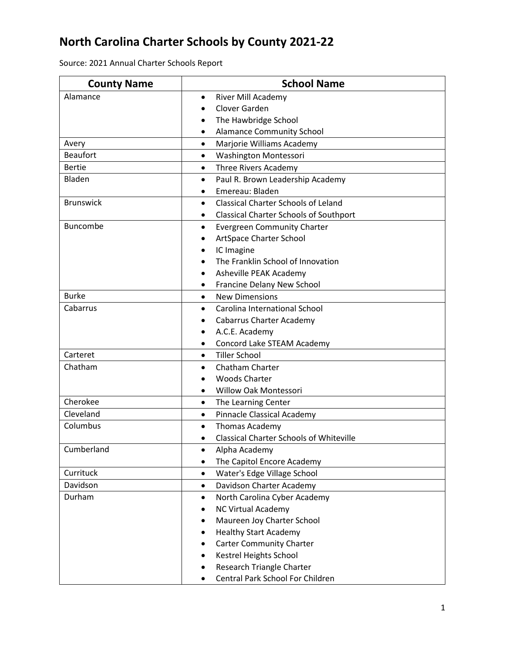## **North Carolina Charter Schools by County 2021-22**

| Source: 2021 Annual Charter Schools Report |  |  |
|--------------------------------------------|--|--|
|--------------------------------------------|--|--|

| <b>County Name</b> | <b>School Name</b>                                      |
|--------------------|---------------------------------------------------------|
| Alamance           | River Mill Academy<br>$\bullet$                         |
|                    | Clover Garden                                           |
|                    | The Hawbridge School                                    |
|                    | <b>Alamance Community School</b><br>٠                   |
| Avery              | Marjorie Williams Academy<br>$\bullet$                  |
| <b>Beaufort</b>    | Washington Montessori<br>$\bullet$                      |
| <b>Bertie</b>      | Three Rivers Academy<br>$\bullet$                       |
| Bladen             | Paul R. Brown Leadership Academy<br>$\bullet$           |
|                    | Emereau: Bladen                                         |
| <b>Brunswick</b>   | <b>Classical Charter Schools of Leland</b><br>$\bullet$ |
|                    | <b>Classical Charter Schools of Southport</b>           |
| <b>Buncombe</b>    | <b>Evergreen Community Charter</b><br>٠                 |
|                    | ArtSpace Charter School                                 |
|                    | IC Imagine                                              |
|                    | The Franklin School of Innovation                       |
|                    | Asheville PEAK Academy                                  |
|                    | Francine Delany New School                              |
| <b>Burke</b>       | <b>New Dimensions</b><br>$\bullet$                      |
| Cabarrus           | Carolina International School                           |
|                    | <b>Cabarrus Charter Academy</b>                         |
|                    | A.C.E. Academy<br>$\bullet$                             |
|                    | Concord Lake STEAM Academy                              |
| Carteret           | <b>Tiller School</b><br>$\bullet$                       |
| Chatham            | <b>Chatham Charter</b><br>$\bullet$                     |
|                    | <b>Woods Charter</b>                                    |
|                    | <b>Willow Oak Montessori</b><br>$\bullet$               |
| Cherokee           | The Learning Center<br>$\bullet$                        |
| Cleveland          | Pinnacle Classical Academy<br>$\bullet$                 |
| Columbus           | Thomas Academy<br>$\bullet$                             |
|                    | <b>Classical Charter Schools of Whiteville</b>          |
| Cumberland         | Alpha Academy                                           |
|                    | The Capitol Encore Academy                              |
| Currituck          | Water's Edge Village School<br>$\bullet$                |
| Davidson           | Davidson Charter Academy<br>$\bullet$                   |
| Durham             | North Carolina Cyber Academy<br>$\bullet$               |
|                    | <b>NC Virtual Academy</b>                               |
|                    | Maureen Joy Charter School<br>$\bullet$                 |
|                    | <b>Healthy Start Academy</b>                            |
|                    | <b>Carter Community Charter</b>                         |
|                    | Kestrel Heights School                                  |
|                    | Research Triangle Charter                               |
|                    | Central Park School For Children                        |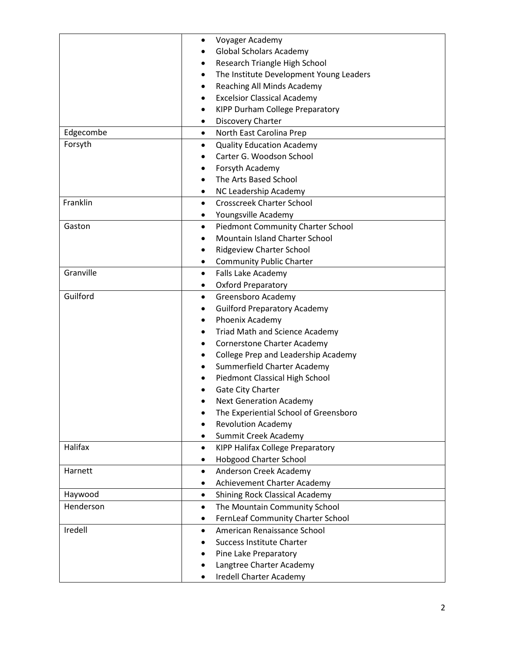|           | Voyager Academy<br>$\bullet$                          |
|-----------|-------------------------------------------------------|
|           | <b>Global Scholars Academy</b>                        |
|           | Research Triangle High School<br>٠                    |
|           | The Institute Development Young Leaders<br>٠          |
|           | Reaching All Minds Academy<br>$\bullet$               |
|           | <b>Excelsior Classical Academy</b>                    |
|           | KIPP Durham College Preparatory<br>٠                  |
|           | Discovery Charter<br>$\bullet$                        |
| Edgecombe | North East Carolina Prep<br>$\bullet$                 |
| Forsyth   | <b>Quality Education Academy</b><br>$\bullet$         |
|           | Carter G. Woodson School                              |
|           | Forsyth Academy                                       |
|           | The Arts Based School                                 |
|           | NC Leadership Academy<br>$\bullet$                    |
| Franklin  | <b>Crosscreek Charter School</b><br>$\bullet$         |
|           | Youngsville Academy<br>$\bullet$                      |
| Gaston    | <b>Piedmont Community Charter School</b><br>$\bullet$ |
|           | Mountain Island Charter School                        |
|           | <b>Ridgeview Charter School</b><br>$\bullet$          |
|           | <b>Community Public Charter</b><br>٠                  |
| Granville | Falls Lake Academy<br>$\bullet$                       |
|           | <b>Oxford Preparatory</b><br>٠                        |
| Guilford  | Greensboro Academy<br>$\bullet$                       |
|           | <b>Guilford Preparatory Academy</b><br>$\bullet$      |
|           | Phoenix Academy<br>٠                                  |
|           | <b>Triad Math and Science Academy</b><br>٠            |
|           | <b>Cornerstone Charter Academy</b><br>$\bullet$       |
|           | College Prep and Leadership Academy                   |
|           | Summerfield Charter Academy                           |
|           | Piedmont Classical High School                        |
|           | Gate City Charter                                     |
|           | <b>Next Generation Academy</b>                        |
|           | The Experiential School of Greensboro                 |
|           | <b>Revolution Academy</b>                             |
|           | Summit Creek Academy                                  |
| Halifax   | KIPP Halifax College Preparatory<br>$\bullet$         |
|           | <b>Hobgood Charter School</b>                         |
| Harnett   | Anderson Creek Academy<br>$\bullet$                   |
|           | Achievement Charter Academy                           |
| Haywood   | <b>Shining Rock Classical Academy</b>                 |
| Henderson | The Mountain Community School<br>$\bullet$            |
|           | FernLeaf Community Charter School                     |
| Iredell   | American Renaissance School<br>$\bullet$              |
|           | <b>Success Institute Charter</b>                      |
|           | Pine Lake Preparatory                                 |
|           | Langtree Charter Academy                              |
|           | Iredell Charter Academy                               |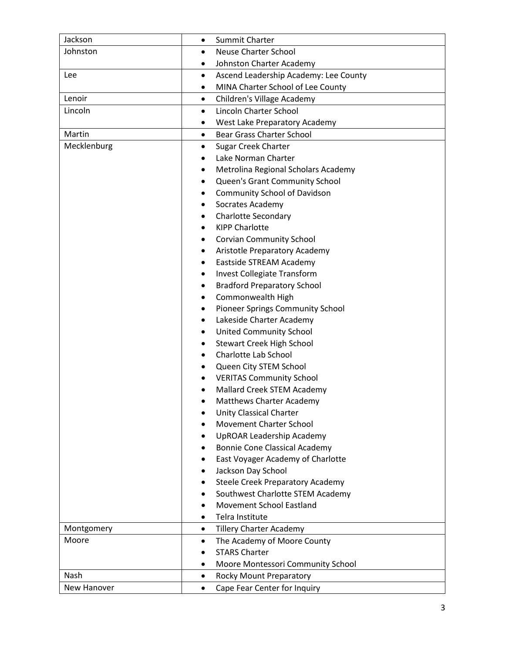| Jackson     | Summit Charter<br>$\bullet$                        |
|-------------|----------------------------------------------------|
| Johnston    | <b>Neuse Charter School</b><br>$\bullet$           |
|             | Johnston Charter Academy<br>٠                      |
| Lee         | Ascend Leadership Academy: Lee County<br>$\bullet$ |
|             | MINA Charter School of Lee County                  |
| Lenoir      | Children's Village Academy<br>$\bullet$            |
| Lincoln     | Lincoln Charter School<br>$\bullet$                |
|             | West Lake Preparatory Academy                      |
| Martin      | <b>Bear Grass Charter School</b><br>$\bullet$      |
| Mecklenburg | <b>Sugar Creek Charter</b><br>$\bullet$            |
|             | Lake Norman Charter                                |
|             | Metrolina Regional Scholars Academy<br>٠           |
|             | Queen's Grant Community School<br>٠                |
|             | <b>Community School of Davidson</b><br>٠           |
|             | Socrates Academy<br>$\bullet$                      |
|             | <b>Charlotte Secondary</b>                         |
|             | <b>KIPP Charlotte</b>                              |
|             | <b>Corvian Community School</b><br>$\bullet$       |
|             | Aristotle Preparatory Academy<br>٠                 |
|             | Eastside STREAM Academy<br>$\bullet$               |
|             | Invest Collegiate Transform<br>$\bullet$           |
|             | <b>Bradford Preparatory School</b><br>٠            |
|             | Commonwealth High<br>٠                             |
|             | Pioneer Springs Community School<br>$\bullet$      |
|             | Lakeside Charter Academy<br>٠                      |
|             | <b>United Community School</b><br>٠                |
|             | <b>Stewart Creek High School</b><br>$\bullet$      |
|             | <b>Charlotte Lab School</b>                        |
|             | Queen City STEM School                             |
|             | <b>VERITAS Community School</b><br>$\bullet$       |
|             | Mallard Creek STEM Academy                         |
|             | <b>Matthews Charter Academy</b>                    |
|             | <b>Unity Classical Charter</b>                     |
|             | <b>Movement Charter School</b>                     |
|             | <b>UpROAR Leadership Academy</b>                   |
|             | <b>Bonnie Cone Classical Academy</b>               |
|             | East Voyager Academy of Charlotte                  |
|             | Jackson Day School                                 |
|             | <b>Steele Creek Preparatory Academy</b><br>٠       |
|             | Southwest Charlotte STEM Academy                   |
|             | <b>Movement School Eastland</b>                    |
|             | Telra Institute<br>$\bullet$                       |
| Montgomery  | <b>Tillery Charter Academy</b><br>$\bullet$        |
| Moore       | The Academy of Moore County<br>$\bullet$           |
|             | <b>STARS Charter</b>                               |
|             | Moore Montessori Community School                  |
| Nash        | <b>Rocky Mount Preparatory</b><br>$\bullet$        |
| New Hanover | Cape Fear Center for Inquiry<br>$\bullet$          |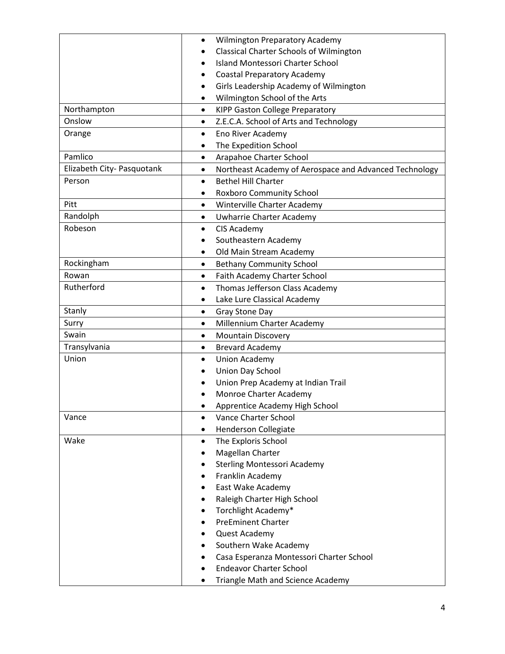|                            | <b>Wilmington Preparatory Academy</b><br>$\bullet$                  |
|----------------------------|---------------------------------------------------------------------|
|                            | <b>Classical Charter Schools of Wilmington</b><br>$\bullet$         |
|                            | <b>Island Montessori Charter School</b>                             |
|                            | <b>Coastal Preparatory Academy</b>                                  |
|                            | Girls Leadership Academy of Wilmington<br>$\bullet$                 |
|                            | Wilmington School of the Arts                                       |
| Northampton                | <b>KIPP Gaston College Preparatory</b><br>$\bullet$                 |
| Onslow                     | Z.E.C.A. School of Arts and Technology<br>$\bullet$                 |
| Orange                     | Eno River Academy<br>$\bullet$                                      |
|                            | The Expedition School<br>$\bullet$                                  |
| Pamlico                    | Arapahoe Charter School<br>$\bullet$                                |
| Elizabeth City- Pasquotank | Northeast Academy of Aerospace and Advanced Technology<br>$\bullet$ |
| Person                     | <b>Bethel Hill Charter</b><br>$\bullet$                             |
|                            | Roxboro Community School                                            |
| Pitt                       | Winterville Charter Academy<br>$\bullet$                            |
| Randolph                   | Uwharrie Charter Academy<br>٠                                       |
| Robeson                    | CIS Academy<br>٠                                                    |
|                            | Southeastern Academy                                                |
|                            | Old Main Stream Academy                                             |
| Rockingham                 | <b>Bethany Community School</b><br>$\bullet$                        |
| Rowan                      | Faith Academy Charter School<br>$\bullet$                           |
| Rutherford                 | Thomas Jefferson Class Academy<br>$\bullet$                         |
|                            | Lake Lure Classical Academy<br>$\bullet$                            |
| Stanly                     | Gray Stone Day<br>٠                                                 |
| Surry                      | Millennium Charter Academy<br>$\bullet$                             |
| Swain                      | <b>Mountain Discovery</b><br>$\bullet$                              |
| Transylvania               | <b>Brevard Academy</b><br>$\bullet$                                 |
| Union                      | <b>Union Academy</b><br>$\bullet$                                   |
|                            | Union Day School                                                    |
|                            | Union Prep Academy at Indian Trail                                  |
|                            | Monroe Charter Academy                                              |
|                            | Apprentice Academy High School                                      |
| Vance                      | Vance Charter School<br>$\bullet$                                   |
|                            | Henderson Collegiate                                                |
| Wake                       | The Exploris School                                                 |
|                            | Magellan Charter                                                    |
|                            | <b>Sterling Montessori Academy</b>                                  |
|                            | Franklin Academy                                                    |
|                            | East Wake Academy                                                   |
|                            | Raleigh Charter High School                                         |
|                            | Torchlight Academy*                                                 |
|                            | <b>PreEminent Charter</b>                                           |
|                            | Quest Academy                                                       |
|                            | Southern Wake Academy                                               |
|                            | Casa Esperanza Montessori Charter School                            |
|                            | <b>Endeavor Charter School</b>                                      |
|                            | <b>Triangle Math and Science Academy</b>                            |